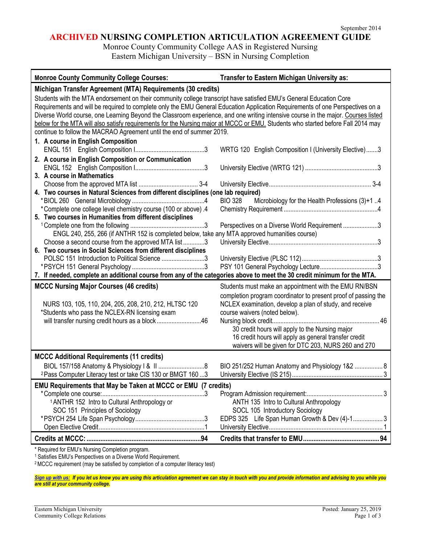## **ARCHIVED NURSING COMPLETION ARTICULATION AGREEMENT GUIDE**

Monroe County Community College AAS in Registered Nursing Eastern Michigan University – BSN in Nursing Completion

| Michigan Transfer Agreement (MTA) Requirements (30 credits)<br>Students with the MTA endorsement on their community college transcript have satisfied EMU's General Education Core<br>Requirements and will be required to complete only the EMU General Education Application Requirements of one Perspectives on a<br>Diverse World course, one Learning Beyond the Classroom experience, and one writing intensive course in the major. Courses listed<br>below for the MTA will also satisfy requirements for the Nursing major at MCCC or EMU. Students who started before Fall 2014 may<br>continue to follow the MACRAO Agreement until the end of summer 2019.<br>1. A course in English Composition<br>WRTG 120 English Composition I (University Elective)3<br>2. A course in English Composition or Communication<br>3. A course in Mathematics<br>4. Two courses in Natural Sciences from different disciplines (one lab required)<br><b>BIO 328</b><br>Microbiology for the Health Professions (3)+1 4<br>*Complete one college level chemistry course (100 or above).4<br>5. Two courses in Humanities from different disciplines<br>Perspectives on a Diverse World Requirement 3<br>ENGL 240, 255, 266 (if ANTHR 152 is completed below, take any MTA approved humanities course)<br>Choose a second course from the approved MTA list3<br>6. Two courses in Social Sciences from different disciplines<br>POLSC 151 Introduction to Political Science 3<br>7. If needed, complete an additional course from any of the categories above to meet the 30 credit minimum for the MTA.<br><b>MCCC Nursing Major Courses (46 credits)</b><br>Students must make an appointment with the EMU RN/BSN<br>completion program coordinator to present proof of passing the<br>NURS 103, 105, 110, 204, 205, 208, 210, 212, HLTSC 120<br>NCLEX examination, develop a plan of study, and receive<br>*Students who pass the NCLEX-RN licensing exam<br>course waivers (noted below).<br>will transfer nursing credit hours as a block46<br>30 credit hours will apply to the Nursing major<br>16 credit hours will apply as general transfer credit<br>waivers will be given for DTC 203, NURS 260 and 270<br><b>MCCC Additional Requirements (11 credits)</b><br>BIO 251/252 Human Anatomy and Physiology 1&2  8<br><sup>2</sup> Pass Computer Literacy test or take CIS 130 or BMGT 160 3<br>EMU Requirements that May be Taken at MCCC or EMU (7 credits)<br><sup>1</sup> ANTHR 152 Intro to Cultural Anthropology or<br>ANTH 135 Intro to Cultural Anthropology<br>SOCL 105 Introductory Sociology<br>SOC 151 Principles of Sociology<br>EDPS 325 Life Span Human Growth & Dev (4)-1 3 | <b>Monroe County Community College Courses:</b> | Transfer to Eastern Michigan University as: |  |
|------------------------------------------------------------------------------------------------------------------------------------------------------------------------------------------------------------------------------------------------------------------------------------------------------------------------------------------------------------------------------------------------------------------------------------------------------------------------------------------------------------------------------------------------------------------------------------------------------------------------------------------------------------------------------------------------------------------------------------------------------------------------------------------------------------------------------------------------------------------------------------------------------------------------------------------------------------------------------------------------------------------------------------------------------------------------------------------------------------------------------------------------------------------------------------------------------------------------------------------------------------------------------------------------------------------------------------------------------------------------------------------------------------------------------------------------------------------------------------------------------------------------------------------------------------------------------------------------------------------------------------------------------------------------------------------------------------------------------------------------------------------------------------------------------------------------------------------------------------------------------------------------------------------------------------------------------------------------------------------------------------------------------------------------------------------------------------------------------------------------------------------------------------------------------------------------------------------------------------------------------------------------------------------------------------------------------------------------------------------------------------------------------------------------------------------------------------------------------------------------------------------------------------------------------------------------------------------------------------------------------------------------------------------------------------------------|-------------------------------------------------|---------------------------------------------|--|
|                                                                                                                                                                                                                                                                                                                                                                                                                                                                                                                                                                                                                                                                                                                                                                                                                                                                                                                                                                                                                                                                                                                                                                                                                                                                                                                                                                                                                                                                                                                                                                                                                                                                                                                                                                                                                                                                                                                                                                                                                                                                                                                                                                                                                                                                                                                                                                                                                                                                                                                                                                                                                                                                                                |                                                 |                                             |  |
|                                                                                                                                                                                                                                                                                                                                                                                                                                                                                                                                                                                                                                                                                                                                                                                                                                                                                                                                                                                                                                                                                                                                                                                                                                                                                                                                                                                                                                                                                                                                                                                                                                                                                                                                                                                                                                                                                                                                                                                                                                                                                                                                                                                                                                                                                                                                                                                                                                                                                                                                                                                                                                                                                                |                                                 |                                             |  |
|                                                                                                                                                                                                                                                                                                                                                                                                                                                                                                                                                                                                                                                                                                                                                                                                                                                                                                                                                                                                                                                                                                                                                                                                                                                                                                                                                                                                                                                                                                                                                                                                                                                                                                                                                                                                                                                                                                                                                                                                                                                                                                                                                                                                                                                                                                                                                                                                                                                                                                                                                                                                                                                                                                |                                                 |                                             |  |
|                                                                                                                                                                                                                                                                                                                                                                                                                                                                                                                                                                                                                                                                                                                                                                                                                                                                                                                                                                                                                                                                                                                                                                                                                                                                                                                                                                                                                                                                                                                                                                                                                                                                                                                                                                                                                                                                                                                                                                                                                                                                                                                                                                                                                                                                                                                                                                                                                                                                                                                                                                                                                                                                                                |                                                 |                                             |  |
|                                                                                                                                                                                                                                                                                                                                                                                                                                                                                                                                                                                                                                                                                                                                                                                                                                                                                                                                                                                                                                                                                                                                                                                                                                                                                                                                                                                                                                                                                                                                                                                                                                                                                                                                                                                                                                                                                                                                                                                                                                                                                                                                                                                                                                                                                                                                                                                                                                                                                                                                                                                                                                                                                                |                                                 |                                             |  |
|                                                                                                                                                                                                                                                                                                                                                                                                                                                                                                                                                                                                                                                                                                                                                                                                                                                                                                                                                                                                                                                                                                                                                                                                                                                                                                                                                                                                                                                                                                                                                                                                                                                                                                                                                                                                                                                                                                                                                                                                                                                                                                                                                                                                                                                                                                                                                                                                                                                                                                                                                                                                                                                                                                |                                                 |                                             |  |
|                                                                                                                                                                                                                                                                                                                                                                                                                                                                                                                                                                                                                                                                                                                                                                                                                                                                                                                                                                                                                                                                                                                                                                                                                                                                                                                                                                                                                                                                                                                                                                                                                                                                                                                                                                                                                                                                                                                                                                                                                                                                                                                                                                                                                                                                                                                                                                                                                                                                                                                                                                                                                                                                                                |                                                 |                                             |  |
|                                                                                                                                                                                                                                                                                                                                                                                                                                                                                                                                                                                                                                                                                                                                                                                                                                                                                                                                                                                                                                                                                                                                                                                                                                                                                                                                                                                                                                                                                                                                                                                                                                                                                                                                                                                                                                                                                                                                                                                                                                                                                                                                                                                                                                                                                                                                                                                                                                                                                                                                                                                                                                                                                                |                                                 |                                             |  |
|                                                                                                                                                                                                                                                                                                                                                                                                                                                                                                                                                                                                                                                                                                                                                                                                                                                                                                                                                                                                                                                                                                                                                                                                                                                                                                                                                                                                                                                                                                                                                                                                                                                                                                                                                                                                                                                                                                                                                                                                                                                                                                                                                                                                                                                                                                                                                                                                                                                                                                                                                                                                                                                                                                |                                                 |                                             |  |
|                                                                                                                                                                                                                                                                                                                                                                                                                                                                                                                                                                                                                                                                                                                                                                                                                                                                                                                                                                                                                                                                                                                                                                                                                                                                                                                                                                                                                                                                                                                                                                                                                                                                                                                                                                                                                                                                                                                                                                                                                                                                                                                                                                                                                                                                                                                                                                                                                                                                                                                                                                                                                                                                                                |                                                 |                                             |  |
|                                                                                                                                                                                                                                                                                                                                                                                                                                                                                                                                                                                                                                                                                                                                                                                                                                                                                                                                                                                                                                                                                                                                                                                                                                                                                                                                                                                                                                                                                                                                                                                                                                                                                                                                                                                                                                                                                                                                                                                                                                                                                                                                                                                                                                                                                                                                                                                                                                                                                                                                                                                                                                                                                                |                                                 |                                             |  |
|                                                                                                                                                                                                                                                                                                                                                                                                                                                                                                                                                                                                                                                                                                                                                                                                                                                                                                                                                                                                                                                                                                                                                                                                                                                                                                                                                                                                                                                                                                                                                                                                                                                                                                                                                                                                                                                                                                                                                                                                                                                                                                                                                                                                                                                                                                                                                                                                                                                                                                                                                                                                                                                                                                |                                                 |                                             |  |
|                                                                                                                                                                                                                                                                                                                                                                                                                                                                                                                                                                                                                                                                                                                                                                                                                                                                                                                                                                                                                                                                                                                                                                                                                                                                                                                                                                                                                                                                                                                                                                                                                                                                                                                                                                                                                                                                                                                                                                                                                                                                                                                                                                                                                                                                                                                                                                                                                                                                                                                                                                                                                                                                                                |                                                 |                                             |  |
|                                                                                                                                                                                                                                                                                                                                                                                                                                                                                                                                                                                                                                                                                                                                                                                                                                                                                                                                                                                                                                                                                                                                                                                                                                                                                                                                                                                                                                                                                                                                                                                                                                                                                                                                                                                                                                                                                                                                                                                                                                                                                                                                                                                                                                                                                                                                                                                                                                                                                                                                                                                                                                                                                                |                                                 |                                             |  |
|                                                                                                                                                                                                                                                                                                                                                                                                                                                                                                                                                                                                                                                                                                                                                                                                                                                                                                                                                                                                                                                                                                                                                                                                                                                                                                                                                                                                                                                                                                                                                                                                                                                                                                                                                                                                                                                                                                                                                                                                                                                                                                                                                                                                                                                                                                                                                                                                                                                                                                                                                                                                                                                                                                |                                                 |                                             |  |
|                                                                                                                                                                                                                                                                                                                                                                                                                                                                                                                                                                                                                                                                                                                                                                                                                                                                                                                                                                                                                                                                                                                                                                                                                                                                                                                                                                                                                                                                                                                                                                                                                                                                                                                                                                                                                                                                                                                                                                                                                                                                                                                                                                                                                                                                                                                                                                                                                                                                                                                                                                                                                                                                                                |                                                 |                                             |  |
|                                                                                                                                                                                                                                                                                                                                                                                                                                                                                                                                                                                                                                                                                                                                                                                                                                                                                                                                                                                                                                                                                                                                                                                                                                                                                                                                                                                                                                                                                                                                                                                                                                                                                                                                                                                                                                                                                                                                                                                                                                                                                                                                                                                                                                                                                                                                                                                                                                                                                                                                                                                                                                                                                                |                                                 |                                             |  |

\* Required for EMU's Nursing Completion program.

<sup>1</sup> Satisfies EMU's Perspectives on a Diverse World Requirement.

2MCCC requirement (may be satisfied by completion of a computer literacy test)

*[Sign up with us:](https://www.emich.edu/ccr/articulation-agreements/signup.php) If you let us know you are using this articulation agreement we can stay in touch with you and provide information and advising to you while you are still at your community college.*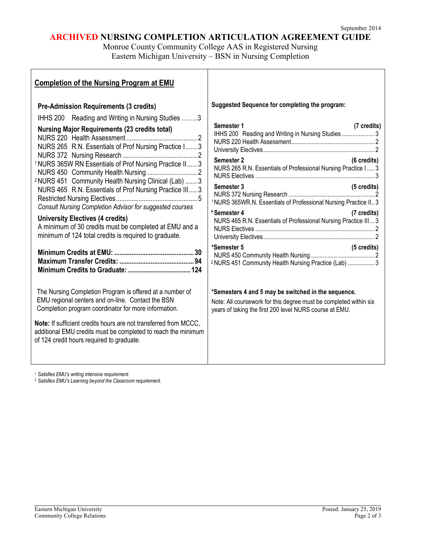# **ARCHIVED NURSING COMPLETION ARTICULATION AGREEMENT GUIDE**

Monroe County Community College AAS in Registered Nursing Eastern Michigan University – BSN in Nursing Completion

| <b>Completion of the Nursing Program at EMU</b>                                                                                                                                                                                                                                                                                                                                                                                                                                                                                                                                                                                                                                                                                                                                                                                                                                                                                                                                                               |                                                                                                                                                                                                                                                                                                                                                                                                                                                                                                                                                                                                                                                                                                                                      |
|---------------------------------------------------------------------------------------------------------------------------------------------------------------------------------------------------------------------------------------------------------------------------------------------------------------------------------------------------------------------------------------------------------------------------------------------------------------------------------------------------------------------------------------------------------------------------------------------------------------------------------------------------------------------------------------------------------------------------------------------------------------------------------------------------------------------------------------------------------------------------------------------------------------------------------------------------------------------------------------------------------------|--------------------------------------------------------------------------------------------------------------------------------------------------------------------------------------------------------------------------------------------------------------------------------------------------------------------------------------------------------------------------------------------------------------------------------------------------------------------------------------------------------------------------------------------------------------------------------------------------------------------------------------------------------------------------------------------------------------------------------------|
| <b>Pre-Admission Requirements (3 credits)</b><br>IHHS 200 Reading and Writing in Nursing Studies 3<br><b>Nursing Major Requirements (23 credits total)</b><br>NURS 265 R.N. Essentials of Prof Nursing Practice I 3<br><sup>1</sup> NURS 365W RN Essentials of Prof Nursing Practice II 3<br><sup>2</sup> NURS 451 Community Health Nursing Clinical (Lab)  3<br>NURS 465 R.N. Essentials of Prof Nursing Practice III 3<br>Consult Nursing Completion Advisor for suggested courses<br><b>University Electives (4 credits)</b><br>A minimum of 30 credits must be completed at EMU and a<br>minimum of 124 total credits is required to graduate.<br>The Nursing Completion Program is offered at a number of<br>EMU regional centers and on-line. Contact the BSN<br>Completion program coordinator for more information.<br>Note: If sufficient credits hours are not transferred from MCCC,<br>additional EMU credits must be completed to reach the minimum<br>of 124 credit hours required to graduate. | Suggested Sequence for completing the program:<br>Semester 1<br>(7 credits)<br>IHHS 200 Reading and Writing in Nursing Studies 3<br>(6 credits)<br>Semester 2<br>NURS 265 R.N. Essentials of Professional Nursing Practice I 3<br>Semester 3<br>(5 credits)<br><sup>1</sup> NURS 365WR.N. Essentials of Professional Nursing Practice II 3<br>*Semester 4<br>(7 credits)<br>NURS 465 R.N. Essentials of Professional Nursing Practice III 3<br>*Semester 5<br>(5 credits)<br><sup>2</sup> NURS 451 Community Health Nursing Practice (Lab)  3<br>*Semesters 4 and 5 may be switched in the sequence.<br>Note: All coursework for this degree must be completed within six<br>years of taking the first 200 level NURS course at EMU. |

*<sup>1</sup> Satisfies EMU's writing intensive requirement.*

*<sup>2</sup> Satisfies EMU's Learning beyond the Classroom requirement.*